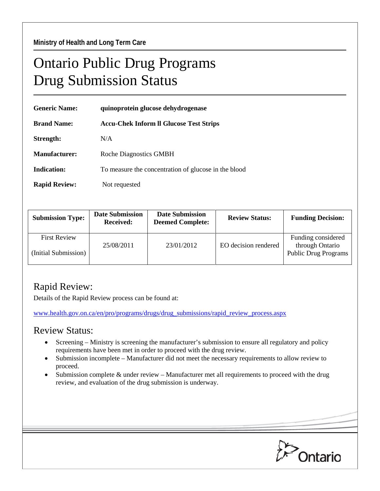## Ontario Public Drug Programs Drug Submission Status

| <b>Generic Name:</b> | quinoprotein glucose dehydrogenase                   |  |  |
|----------------------|------------------------------------------------------|--|--|
| <b>Brand Name:</b>   | <b>Accu-Chek Inform Il Glucose Test Strips</b>       |  |  |
| Strength:            | N/A                                                  |  |  |
| Manufacturer:        | <b>Roche Diagnostics GMBH</b>                        |  |  |
| <b>Indication:</b>   | To measure the concentration of glucose in the blood |  |  |
| <b>Rapid Review:</b> | Not requested                                        |  |  |

| <b>Submission Type:</b>                     | <b>Date Submission</b><br><b>Received:</b> | <b>Date Submission</b><br><b>Deemed Complete:</b> | <b>Review Status:</b> | <b>Funding Decision:</b>                                             |
|---------------------------------------------|--------------------------------------------|---------------------------------------------------|-----------------------|----------------------------------------------------------------------|
| <b>First Review</b><br>(Initial Submission) | 25/08/2011                                 | 23/01/2012                                        | EO decision rendered  | Funding considered<br>through Ontario<br><b>Public Drug Programs</b> |

## Rapid Review:

Details of the Rapid Review process can be found at:

[www.health.gov.on.ca/en/pro/programs/drugs/drug\\_submissions/rapid\\_review\\_process.aspx](http://www.health.gov.on.ca/en/pro/programs/drugs/drug_submissions/rapid_review_process.aspx)

## Review Status:

- Screening Ministry is screening the manufacturer's submission to ensure all regulatory and policy requirements have been met in order to proceed with the drug review.
- Submission incomplete Manufacturer did not meet the necessary requirements to allow review to proceed.
- Submission complete & under review Manufacturer met all requirements to proceed with the drug review, and evaluation of the drug submission is underway.